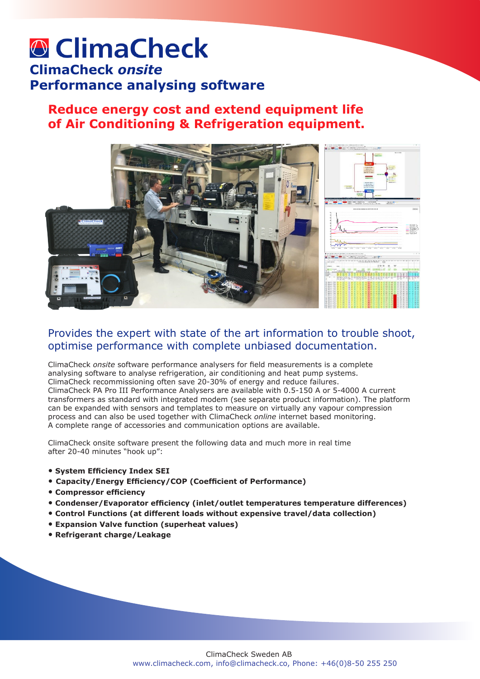# **<sup>®</sup>** ClimaCheck **ClimaCheck** *onsite* **Performance analysing software**

### **Reduce energy cost and extend equipment life of Air Conditioning & Refrigeration equipment.**



### Provides the expert with state of the art information to trouble shoot, optimise performance with complete unbiased documentation.

ClimaCheck *onsite* software performance analysers for field measurements is a complete analysing software to analyse refrigeration, air conditioning and heat pump systems. ClimaCheck recommissioning often save 20-30% of energy and reduce failures. ClimaCheck PA Pro III Performance Analysers are available with 0.5-150 A or 5-4000 A current transformers as standard with integrated modem (see separate product information). The platform can be expanded with sensors and templates to measure on virtually any vapour compression process and can also be used together with ClimaCheck *online* internet based monitoring. A complete range of accessories and communication options are available.

ClimaCheck onsite software present the following data and much more in real time after 20-40 minutes "hook up":

- • **System Efficiency Index SEI**
- **Capacity/Energy Efficiency/COP (Coefficient of Performance)**
- • **Compressor efficiency**
- • **Condenser/Evaporator efficiency (inlet/outlet temperatures temperature differences)**
- • **Control Functions (at different loads without expensive travel/data collection)**
- • **Expansion Valve function (superheat values)**
- • **Refrigerant charge/Leakage**